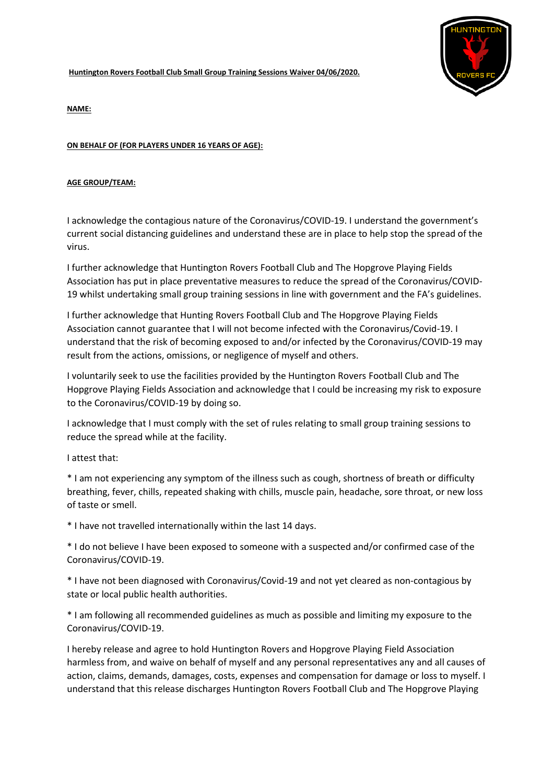**Huntington Rovers Football Club Small Group Training Sessions Waiver 04/06/2020.**



**NAME:**

## **ON BEHALF OF (FOR PLAYERS UNDER 16 YEARS OF AGE):**

## **AGE GROUP/TEAM:**

I acknowledge the contagious nature of the Coronavirus/COVID-19. I understand the government's current social distancing guidelines and understand these are in place to help stop the spread of the virus.

I further acknowledge that Huntington Rovers Football Club and The Hopgrove Playing Fields Association has put in place preventative measures to reduce the spread of the Coronavirus/COVID-19 whilst undertaking small group training sessions in line with government and the FA's guidelines.

I further acknowledge that Hunting Rovers Football Club and The Hopgrove Playing Fields Association cannot guarantee that I will not become infected with the Coronavirus/Covid-19. I understand that the risk of becoming exposed to and/or infected by the Coronavirus/COVID-19 may result from the actions, omissions, or negligence of myself and others.

I voluntarily seek to use the facilities provided by the Huntington Rovers Football Club and The Hopgrove Playing Fields Association and acknowledge that I could be increasing my risk to exposure to the Coronavirus/COVID-19 by doing so.

I acknowledge that I must comply with the set of rules relating to small group training sessions to reduce the spread while at the facility.

## I attest that:

\* I am not experiencing any symptom of the illness such as cough, shortness of breath or difficulty breathing, fever, chills, repeated shaking with chills, muscle pain, headache, sore throat, or new loss of taste or smell.

\* I have not travelled internationally within the last 14 days.

\* I do not believe I have been exposed to someone with a suspected and/or confirmed case of the Coronavirus/COVID-19.

\* I have not been diagnosed with Coronavirus/Covid-19 and not yet cleared as non-contagious by state or local public health authorities.

\* I am following all recommended guidelines as much as possible and limiting my exposure to the Coronavirus/COVID-19.

I hereby release and agree to hold Huntington Rovers and Hopgrove Playing Field Association harmless from, and waive on behalf of myself and any personal representatives any and all causes of action, claims, demands, damages, costs, expenses and compensation for damage or loss to myself. I understand that this release discharges Huntington Rovers Football Club and The Hopgrove Playing